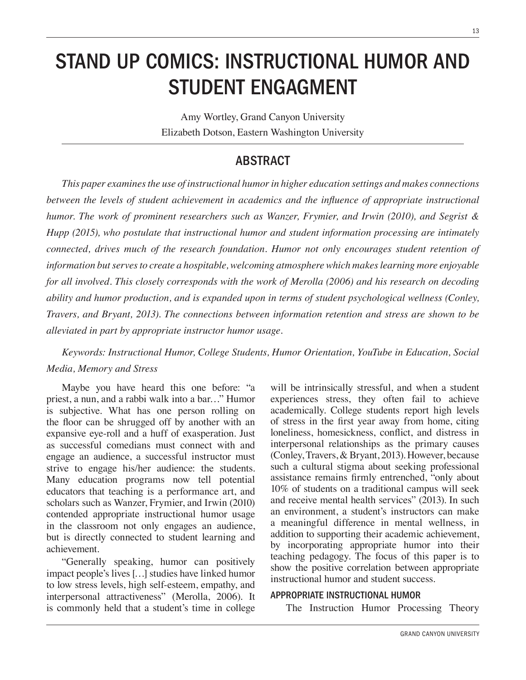### STAND UP COMICS: INSTRUCTIONAL HUMOR AND STUDENT ENGAGMENT

Amy Wortley, Grand Canyon University Elizabeth Dotson, Eastern Washington University

### ABSTRACT

This paper examines the use of instructional humor in higher education settings and makes connections between the levels of student achievement in academics and the influence of appropriate instructional *humor. The work of prominent researchers such as Wanzer, Frymier, and Irwin (2010), and Segrist & Hupp* (2015), who postulate that instructional humor and student information processing are intimately *Connected, drives much of the research foundation. Humor not only encourages student retention of L* information but serves to create a hospitable, welcoming atmosphere which makes learning more enjoyable for all involved. This closely corresponds with the work of Merolla (2006) and his research on decoding ability and humor production, and is expanded upon in terms of student psychological wellness (Conley, *Travers, and Bryant, 2013). The connections between information retention and stress are shown to be alleviated in part by appropriate instructor humor usage.* 

*Keywords: Instructional Humor, College Students, Humor Orientation, YouTube in Education, Social Media, Memory and Stress* 

Maybe you have heard this one before: "a priest, a nun, and a rabbi walk into a bar…" Humor is subjective. What has one person rolling on the floor can be shrugged off by another with an expansive eye-roll and a huff of exasperation. Just as successful comedians must connect with and engage an audience, a successful instructor must strive to engage his/her audience: the students. Many education programs now tell potential educators that teaching is a performance art, and scholars such as Wanzer, Frymier, and Irwin (2010) contended appropriate instructional humor usage in the classroom not only engages an audience, but is directly connected to student learning and achievement.

"Generally speaking, humor can positively impact people's lives […] studies have linked humor to low stress levels, high self-esteem, empathy, and interpersonal attractiveness" (Merolla, 2006). It is commonly held that a student's time in college will be intrinsically stressful, and when a student experiences stress, they often fail to achieve academically. College students report high levels of stress in the first year away from home, citing loneliness, homesickness, conflict, and distress in interpersonal relationships as the primary causes (Conley, Travers, & Bryant, 2013). However, because such a cultural stigma about seeking professional assistance remains firmly entrenched, "only about 10% of students on a traditional campus will seek and receive mental health services" (2013). In such an environment, a student's instructors can make a meaningful difference in mental wellness, in addition to supporting their academic achievement, by incorporating appropriate humor into their teaching pedagogy. The focus of this paper is to show the positive correlation between appropriate instructional humor and student success.

#### APPROPRIATE INSTRUCTIONAL HUMOR

The Instruction Humor Processing Theory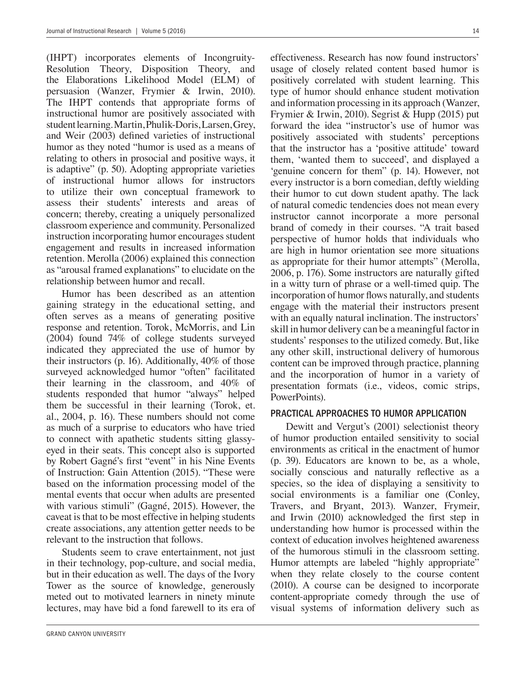(IHPT) incorporates elements of Incongruity-Resolution Theory, Disposition Theory, and the Elaborations Likelihood Model (ELM) of persuasion (Wanzer, Frymier & Irwin, 2010). The IHPT contends that appropriate forms of instructional humor are positively associated with student learning. Martin, Phulik-Doris, Larsen, Grey, and Weir (2003) defined varieties of instructional humor as they noted "humor is used as a means of relating to others in prosocial and positive ways, it is adaptive" (p. 50). Adopting appropriate varieties of instructional humor allows for instructors to utilize their own conceptual framework to assess their students' interests and areas of concern; thereby, creating a uniquely personalized classroom experience and community. Personalized instruction incorporating humor encourages student engagement and results in increased information retention. Merolla (2006) explained this connection as "arousal framed explanations" to elucidate on the relationship between humor and recall.

Humor has been described as an attention gaining strategy in the educational setting, and often serves as a means of generating positive response and retention. Torok, McMorris, and Lin (2004) found 74% of college students surveyed indicated they appreciated the use of humor by their instructors (p. 16). Additionally, 40% of those surveyed acknowledged humor "often" facilitated their learning in the classroom, and 40% of students responded that humor "always" helped them be successful in their learning (Torok, et. al., 2004, p. 16). These numbers should not come as much of a surprise to educators who have tried to connect with apathetic students sitting glassyeyed in their seats. This concept also is supported by Robert Gagné's first "event" in his Nine Events of Instruction: Gain Attention (2015). "These were based on the information processing model of the mental events that occur when adults are presented with various stimuli" (Gagné, 2015). However, the caveat is that to be most effective in helping students create associations, any attention getter needs to be relevant to the instruction that follows.

Students seem to crave entertainment, not just in their technology, pop-culture, and social media, but in their education as well. The days of the Ivory Tower as the source of knowledge, generously meted out to motivated learners in ninety minute lectures, may have bid a fond farewell to its era of effectiveness. Research has now found instructors' usage of closely related content based humor is positively correlated with student learning. This type of humor should enhance student motivation and information processing in its approach (Wanzer, Frymier & Irwin, 2010). Segrist & Hupp (2015) put forward the idea "instructor's use of humor was positively associated with students' perceptions that the instructor has a 'positive attitude' toward them, 'wanted them to succeed', and displayed a 'genuine concern for them" (p. 14). However, not every instructor is a born comedian, deftly wielding their humor to cut down student apathy. The lack of natural comedic tendencies does not mean every instructor cannot incorporate a more personal brand of comedy in their courses. "A trait based perspective of humor holds that individuals who are high in humor orientation see more situations as appropriate for their humor attempts" (Merolla, 2006, p. 176). Some instructors are naturally gifted in a witty turn of phrase or a well-timed quip. The incorporation of humor flows naturally, and students engage with the material their instructors present with an equally natural inclination. The instructors' skill in humor delivery can be a meaningful factor in students' responses to the utilized comedy. But, like any other skill, instructional delivery of humorous content can be improved through practice, planning and the incorporation of humor in a variety of presentation formats (i.e., videos, comic strips, PowerPoints).

#### PRACTICAL APPROACHES TO HUMOR APPLICATION

Dewitt and Vergut's (2001) selectionist theory of humor production entailed sensitivity to social environments as critical in the enactment of humor (p. 39). Educators are known to be, as a whole, socially conscious and naturally reflective as a species, so the idea of displaying a sensitivity to social environments is a familiar one (Conley, Travers, and Bryant, 2013). Wanzer, Frymeir, and Irwin  $(2010)$  acknowledged the first step in understanding how humor is processed within the context of education involves heightened awareness of the humorous stimuli in the classroom setting. Humor attempts are labeled "highly appropriate" when they relate closely to the course content (2010). A course can be designed to incorporate content-appropriate comedy through the use of visual systems of information delivery such as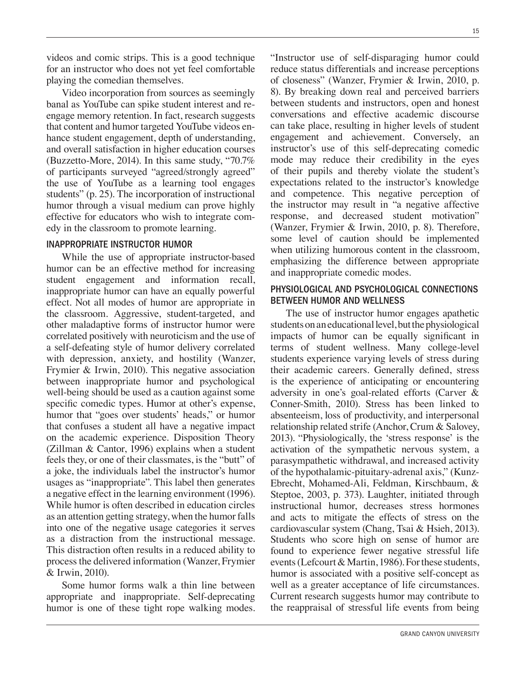videos and comic strips. This is a good technique for an instructor who does not yet feel comfortable playing the comedian themselves.

Video incorporation from sources as seemingly banal as YouTube can spike student interest and reengage memory retention. In fact, research suggests that content and humor targeted YouTube videos enhance student engagement, depth of understanding, and overall satisfaction in higher education courses (Buzzetto-More, 2014). In this same study, "70.7% of participants surveyed "agreed/strongly agreed" the use of YouTube as a learning tool engages students" (p. 25). The incorporation of instructional humor through a visual medium can prove highly effective for educators who wish to integrate comedy in the classroom to promote learning.

#### INAPPROPRIATE INSTRUCTOR HUMOR

While the use of appropriate instructor-based humor can be an effective method for increasing student engagement and information recall, inappropriate humor can have an equally powerful effect. Not all modes of humor are appropriate in the classroom. Aggressive, student-targeted, and other maladaptive forms of instructor humor were correlated positively with neuroticism and the use of a self-defeating style of humor delivery correlated with depression, anxiety, and hostility (Wanzer, Frymier & Irwin, 2010). This negative association between inappropriate humor and psychological well-being should be used as a caution against some specific comedic types. Humor at other's expense, humor that "goes over students' heads," or humor that confuses a student all have a negative impact on the academic experience. Disposition Theory (Zillman & Cantor, 1996) explains when a student feels they, or one of their classmates, is the "butt" of a joke, the individuals label the instructor's humor usages as "inappropriate". This label then generates a negative effect in the learning environment (1996). While humor is often described in education circles as an attention getting strategy, when the humor falls into one of the negative usage categories it serves as a distraction from the instructional message. This distraction often results in a reduced ability to process the delivered information (Wanzer, Frymier & Irwin, 2010).

Some humor forms walk a thin line between appropriate and inappropriate. Self-deprecating humor is one of these tight rope walking modes. "Instructor use of self-disparaging humor could reduce status differentials and increase perceptions of closeness" (Wanzer, Frymier & Irwin, 2010, p. 8). By breaking down real and perceived barriers between students and instructors, open and honest conversations and effective academic discourse can take place, resulting in higher levels of student engagement and achievement. Conversely, an instructor's use of this self-deprecating comedic mode may reduce their credibility in the eyes of their pupils and thereby violate the student's expectations related to the instructor's knowledge and competence. This negative perception of the instructor may result in "a negative affective response, and decreased student motivation" (Wanzer, Frymier & Irwin, 2010, p. 8). Therefore, some level of caution should be implemented when utilizing humorous content in the classroom, emphasizing the difference between appropriate

#### PHYSIOLOGICAL AND PSYCHOLOGICAL CONNECTIONS BETWEEN HUMOR AND WELLNESS

and inappropriate comedic modes.

The use of instructor humor engages apathetic students on an educational level, but the physiological impacts of humor can be equally significant in terms of student wellness. Many college-level students experience varying levels of stress during their academic careers. Generally defined, stress is the experience of anticipating or encountering adversity in one's goal-related efforts (Carver & Conner-Smith, 2010). Stress has been linked to absenteeism, loss of productivity, and interpersonal relationship related strife (Anchor, Crum & Salovey, 2013). "Physiologically, the 'stress response' is the activation of the sympathetic nervous system, a parasympathetic withdrawal, and increased activity of the hypothalamic-pituitary-adrenal axis," (Kunz-Ebrecht, Mohamed-Ali, Feldman, Kirschbaum, & Steptoe, 2003, p. 373). Laughter, initiated through instructional humor, decreases stress hormones and acts to mitigate the effects of stress on the cardiovascular system (Chang, Tsai & Hsieh, 2013). Students who score high on sense of humor are found to experience fewer negative stressful life events (Lefcourt & Martin, 1986). For these students, humor is associated with a positive self-concept as well as a greater acceptance of life circumstances. Current research suggests humor may contribute to the reappraisal of stressful life events from being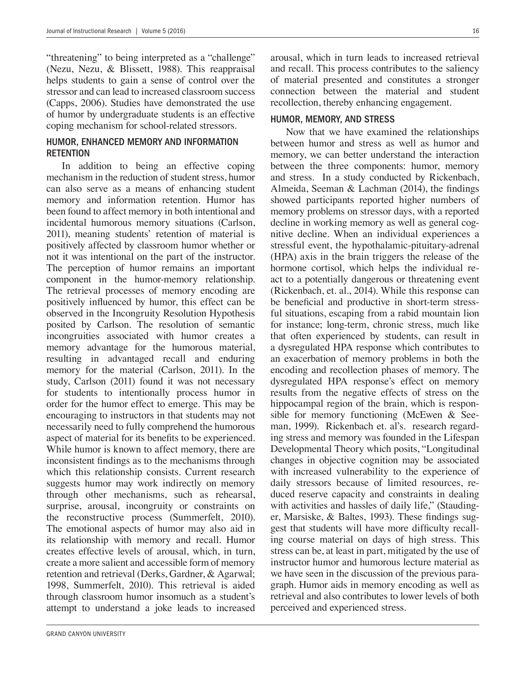"threatening" to being interpreted as a "challenge" (Nezu, Nezu, & Blissett, 1988). This reappraisal helps students to gain a sense of control over the stressor and can lead to increased classroom success (Capps, 2006). Studies have demonstrated the use of humor by undergraduate students is an effective coping mechanism for school-related stressors.

#### HUMOR, ENHANCED MEMORY AND INFORMATION **RETENTION**

In addition to being an effective coping mechanism in the reduction of student stress, humor can also serve as a means of enhancing student memory and information retention. Humor has been found to affect memory in both intentional and incidental humorous memory situations (Carlson, 2011), meaning students' retention of material is positively affected by classroom humor whether or not it was intentional on the part of the instructor. The perception of humor remains an important component in the humor-memory relationship. The retrieval processes of memory encoding are positively influenced by humor, this effect can be observed in the Incongruity Resolution Hypothesis posited by Carlson. The resolution of semantic incongruities associated with humor creates a memory advantage for the humorous material, resulting in advantaged recall and enduring memory for the material (Carlson, 2011). In the study, Carlson (2011) found it was not necessary for students to intentionally process humor in order for the humor effect to emerge. This may be encouraging to instructors in that students may not necessarily need to fully comprehend the humorous aspect of material for its benefits to be experienced. While humor is known to affect memory, there are inconsistent findings as to the mechanisms through which this relationship consists. Current research suggests humor may work indirectly on memory through other mechanisms, such as rehearsal, surprise, arousal, incongruity or constraints on the reconstructive process (Summerfelt, 2010). The emotional aspects of humor may also aid in its relationship with memory and recall. Humor creates effective levels of arousal, which, in turn, create a more salient and accessible form of memory retention and retrieval (Derks, Gardner, & Agarwal; 1998, Summerfelt, 2010). This retrieval is aided through classroom humor insomuch as a student's attempt to understand a joke leads to increased

arousal, which in turn leads to increased retrieval and recall. This process contributes to the saliency of material presented and constitutes a stronger connection between the material and student recollection, thereby enhancing engagement.

#### HUMOR, MEMORY, AND STRESS

Now that we have examined the relationships between humor and stress as well as humor and memory, we can better understand the interaction between the three components: humor, memory and stress. In a study conducted by Rickenbach, Almeida, Seeman & Lachman  $(2014)$ , the findings showed participants reported higher numbers of memory problems on stressor days, with a reported decline in working memory as well as general cognitive decline. When an individual experiences a stressful event, the hypothalamic-pituitary-adrenal (HPA) axis in the brain triggers the release of the hormone cortisol, which helps the individual react to a potentially dangerous or threatening event (Rickenbach, et. al., 2014). While this response can be beneficial and productive in short-term stressful situations, escaping from a rabid mountain lion for instance; long-term, chronic stress, much like that often experienced by students, can result in a dysregulated HPA response which contributes to an exacerbation of memory problems in both the encoding and recollection phases of memory. The dysregulated HPA response's effect on memory results from the negative effects of stress on the hippocampal region of the brain, which is responsible for memory functioning (McEwen & Seeman, 1999). Rickenbach et. al's. research regarding stress and memory was founded in the Lifespan Developmental Theory which posits, "Longitudinal changes in objective cognition may be associated with increased vulnerability to the experience of daily stressors because of limited resources, reduced reserve capacity and constraints in dealing with activities and hassles of daily life," (Staudinger, Marsiske,  $\&$  Baltes, 1993). These findings suggest that students will have more difficulty recalling course material on days of high stress. This stress can be, at least in part, mitigated by the use of instructor humor and humorous lecture material as we have seen in the discussion of the previous paragraph. Humor aids in memory encoding as well as retrieval and also contributes to lower levels of both perceived and experienced stress.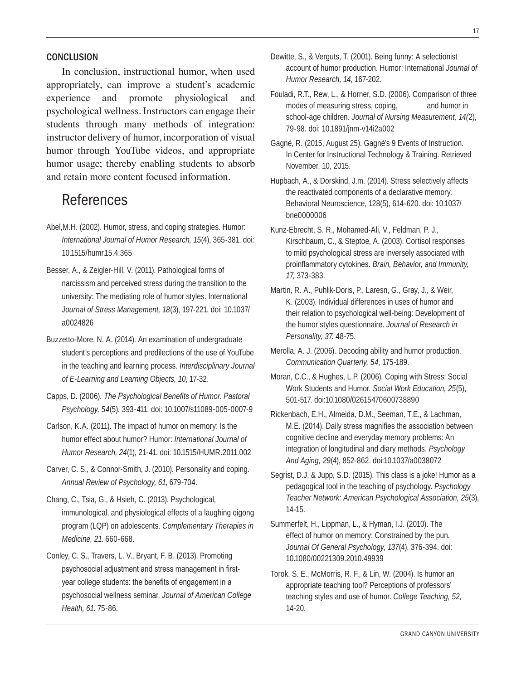#### **CONCLUSION**

In conclusion, instructional humor, when used appropriately, can improve a student's academic experience and promote physiological and psychological wellness. Instructors can engage their students through many methods of integration: instructor delivery of humor, incorporation of visual humor through YouTube videos, and appropriate humor usage; thereby enabling students to absorb and retain more content focused information.

## References

- Abel,M.H. (2002). Humor, stress, and coping strategies. Humor: *International Journal of Humor Research, 15*(4), 365-381. doi: 10.1515/humr.15.4.365
- Besser, A., & Zeigler-Hill, V. (2011). Pathological forms of narcissism and perceived stress during the transition to the university: The mediating role of humor styles. International *Journal of Stress Management, 18*(3), 197-221. doi: 10.1037/ a0024826
- Buzzetto-More, N. A. (2014). An examination of undergraduate student's perceptions and predilections of the use of YouTube in the teaching and learning process. *Interdisciplinary Journal of E-Learning and Learning Objects, 10*, 17-32.
- Capps, D. (2006). *The Psychological Benefits of Humor. Pastoral Psychology, 54*(5), 393-411. doi: 10.1007/s11089-005-0007-9
- Carlson, K.A. (2011). The impact of humor on memory: Is the humor effect about humor? Humor: *International Journal of Humor Research, 24*(1), 21-41. doi: 10.1515/HUMR.2011.002
- Carver, C. S., & Connor-Smith, J. (2010). Personality and coping. *Annual Review of Psychology, 61*, 679-704.
- Chang, C., Tsia, G., & Hsieh, C. (2013). Psychological, immunological, and physiological effects of a laughing qigong program (LQP) on adolescents. *Complementary Therapies in Medicine, 21*. 660-668.
- Conley, C. S., Travers, L. V., Bryant, F. B. (2013). Promoting psychosocial adjustment and stress management in firstyear college students: the benefits of engagement in a psychosocial wellness seminar. *Journal of American College Health, 61*. 75-86.
- Dewitte, S., & Verguts, T. (2001). Being funny: A selectionist account of humor production. Humor: International *Journal of Humor Research, 14*, 167-202.
- Fouladi, R.T., Rew, L., & Horner, S.D. (2006). Comparison of three modes of measuring stress, coping, and humor in school-age children. *Journal of Nursing Measurement, 14(*2), 79-98. doi: 10.1891/jnm-v14i2a002
- Gagné, R. (2015, August 25). Gagné's 9 Events of Instruction. In Center for Instructional Technology & Training. Retrieved November, 10, 2015.
- Hupbach, A., & Dorskind, J.m. (2014). Stress selectively affects the reactivated components of a declarative memory. Behavioral Neuroscience, 128(5), 614-620. doi: 10.1037/ bne0000006
- Kunz-Ebrecht, S. R., Mohamed-Ali, V., Feldman, P. J., Kirschbaum, C., & Steptoe, A. (2003). Cortisol responses to mild psychological stress are inversely associated with proinflammatory cytokines. Brain, Behavior, and Immunity, *17,* 373-383.
- Martin, R. A., Puhlik-Doris, P., Laresn, G., Gray, J., & Weir, K. (2003). Individual differences in uses of humor and their relation to psychological well-being: Development of the humor styles questionnaire. *Journal of Research in Personality, 37*. 48-75.
- Merolla, A. J. (2006). Decoding ability and humor production. *Communication Quarterly, 54*, 175-189.
- Moran, C.C., & Hughes, L.P. (2006). Coping with Stress: Social Work Students and Humor. *Social Work Education, 25*(5), 501-517. doi:10.1080/02615470600738890
- Rickenbach, E.H., Almeida, D.M., Seeman, T.E., & Lachman, M.E. (2014). Daily stress magnifies the association between cognitive decline and everyday memory problems: An integration of longitudinal and diary methods. *Psychology And Aging, 29*(4), 852-862. doi:10.1037/a0038072
- Segrist, D.J. & Jupp, S.D. (2015). This class is a joke! Humor as a pedagogical tool in the teaching of psychology. *Psychology Teacher Network: American Psychological Association, 25*(3), 14-15.
- Summerfelt, H., Lippman, L., & Hyman, I.J. (2010). The effect of humor on memory: Constrained by the pun. *Journal Of General Psychology, 137*(4), 376-394. doi: 10.1080/00221309.2010.49939
- Torok, S. E., McMorris, R. F., & Lin, W. (2004). Is humor an appropriate teaching tool? Perceptions of professors' teaching styles and use of humor. *College Teaching, 52,* 14-20.